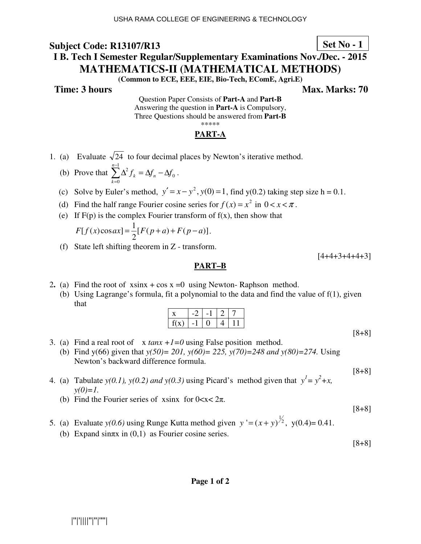## **Set No - 1**

# **I B. Tech I Semester Regular/Supplementary Examinations Nov./Dec. - 2015 MATHEMATICS-II (MATHEMATICAL METHODS)**

**(Common to ECE, EEE, EIE, Bio-Tech, EComE, Agri.E)** 

**Time: 3 hours Max. Marks: 70 Max. Marks: 70** 

Question Paper Consists of **Part-A** and **Part-B** Answering the question in **Part-A** is Compulsory, Three Questions should be answered from **Part-B** \*\*\*\*\*

### **PART-A**

- 1. (a) Evaluate  $\sqrt{24}$  to four decimal places by Newton's iterative method.
- (b) Prove that  $\sum_{n=1}^{n-1}$ =  $\Delta^2 f_k = \Delta f_n - \Delta$ 1 0 0  $\sum_{n=1}^{n-1}$   $\lambda^2$ *k*  $f_k = \Delta f_n - \Delta f_0$ .
	- (c) Solve by Euler's method,  $y' = x y^2$ ,  $y(0) = 1$ , find  $y(0.2)$  taking step size h = 0.1.
	- (d) Find the half range Fourier cosine series for  $f(x) = x^2$  in  $0 < x < \pi$ .
	- (e) If  $F(p)$  is the complex Fourier transform of  $f(x)$ , then show that

$$
F[f(x)\cos ax] = \frac{1}{2}[F(p+a) + F(p-a)].
$$

(f) State left shifting theorem in Z - transform.

 $[4+4+3+4+4+3]$ 

#### **PART–B**

- 2. (a) Find the root of  $x\sin x + \cos x = 0$  using Newton-Raphson method.
	- (b) Using Lagrange's formula, fit a polynomial to the data and find the value of f(1), given that

| I(X) |  |  |  |
|------|--|--|--|

[8+8]

- 3. (a) Find a real root of  $x \tan x +1=0$  using False position method.
	- (b) Find y(66) given that *y(50)= 201, y(60)= 225, y(70)=248 and y(80)=274.* Using Newton's backward difference formula.

[8+8]

- 4. (a) Tabulate *y*(0.1), *y*(0.2) and *y*(0.3) using Picard's method given that  $y^1 = y^2 + x$ ,  $v(0)=1$ .
	- (b) Find the Fourier series of xsinx for  $0 < x < 2\pi$ .

[8+8]

5. (a) Evaluate *y*(0.6) using Runge Kutta method given  $y' = (x + y)^{\frac{1}{2}}$ , *y*(0.4)= 0.41. (b) Expand sin $\pi x$  in (0,1) as Fourier cosine series.

[8+8]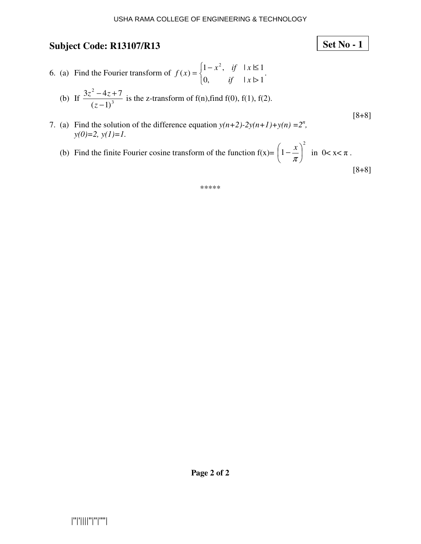6. (a) Find the Fourier transform of  $\overline{\mathcal{L}}$ ∤  $\int$ >  $=\begin{cases} 1-x^2, & \text{if } |x| \leq 1 \end{cases}$ 0, if  $|x\rhd 1$  $f(x) = \begin{cases} 1 - x^2, & \text{if } |x| \leq 1 \\ 0 & \text{if } x \leq 1 \end{cases}$ 2 *if x*  $f(x) = \begin{cases} 1 - x^2, & \text{if } |x| \leq 1 \\ 0 & \text{if } x \leq 1 \end{cases}$ 

(b) If 
$$
\frac{3z^2 - 4z + 7}{(z-1)^3}
$$
 is the z-transform of f(n), find f(0), f(1), f(2).

- 7. (a) Find the solution of the difference equation  $y(n+2)-2y(n+1)+y(n) = 2^n$ , *y(0)=2, y(1)=1.* 
	- (b) Find the finite Fourier cosine transform of the function  $f(x)$ = 2  $1-\frac{\lambda}{\lambda}$ J  $\left(1-\frac{x}{x}\right)$ l  $\left(1-\frac{x}{\pi}\right)$  $\left(\frac{x}{x}\right)^2$  in  $0 < x < \pi$ . [8+8]

\*\*\*\*\*

[8+8]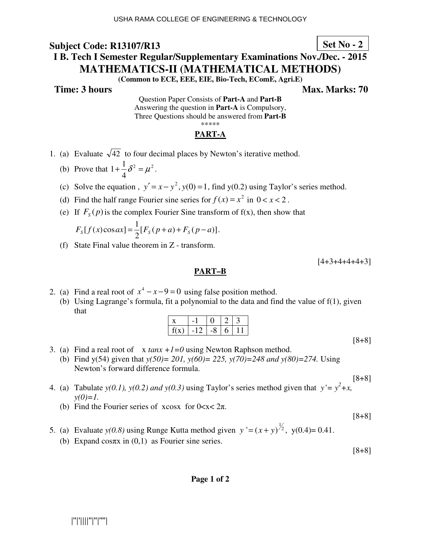## **Set No - 2**

# **I B. Tech I Semester Regular/Supplementary Examinations Nov./Dec. - 2015 MATHEMATICS-II (MATHEMATICAL METHODS)**

**(Common to ECE, EEE, EIE, Bio-Tech, EComE, Agri.E)** 

**Time: 3 hours** Max. Marks: 70

Question Paper Consists of **Part-A** and **Part-B** Answering the question in **Part-A** is Compulsory, Three Questions should be answered from **Part-B** \*\*\*\*\*

### **PART-A**

- 1. (a) Evaluate  $\sqrt{42}$  to four decimal places by Newton's iterative method.
- (b) Prove that  $1 + \frac{1}{2} \delta^2 = \mu^2$ 4  $1 + \frac{1}{4} \delta^2 = \mu^2$ .
- (c) Solve the equation,  $y' = x y^2$ ,  $y(0) = 1$ , find  $y(0.2)$  using Taylor's series method.
- (d) Find the half range Fourier sine series for  $f(x) = x^2$  in  $0 < x < 2$ .
- (e) If  $F_s(p)$  is the complex Fourier Sine transform of  $f(x)$ , then show that

$$
F_{S}[f(x)\cos ax] = \frac{1}{2}[F_{S}(p+a) + F_{S}(p-a)].
$$

(f) State Final value theorem in Z - transform.

 $[4+3+4+4+4+3]$ 

#### **PART–B**

- 2. (a) Find a real root of  $x^4 x 9 = 0$  using false position method.
	- (b) Using Lagrange's formula, fit a polynomial to the data and find the value of f(1), given that

| f(x) | $-12$ | -8 | h |  |
|------|-------|----|---|--|

[8+8]

[8+8]

- 3. (a) Find a real root of  $x \tan x +1=0$  using Newton Raphson method. (b) Find y(54) given that *y(50)= 201, y(60)= 225, y(70)=248 and y(80)=274.* Using Newton's forward difference formula.
- 4. (a) Tabulate *y*(0.1), *y*(0.2) and *y*(0.3) using Taylor's series method given that  $y' = y^2 + x$ ,  $y(0)=1$ .
	- (b) Find the Fourier series of xcosx for  $0 < x < 2\pi$ .
- 5. (a) Evaluate *y*(0.8) using Runge Kutta method given  $y' = (x + y)^{\frac{1}{2}}$ , *y*(0.4)= 0.41.
	- (b) Expand cos $\pi x$  in (0,1) as Fourier sine series.

[8+8]

[8+8]

#### **Page 1 of 2**

|''|'||||''|''|''''|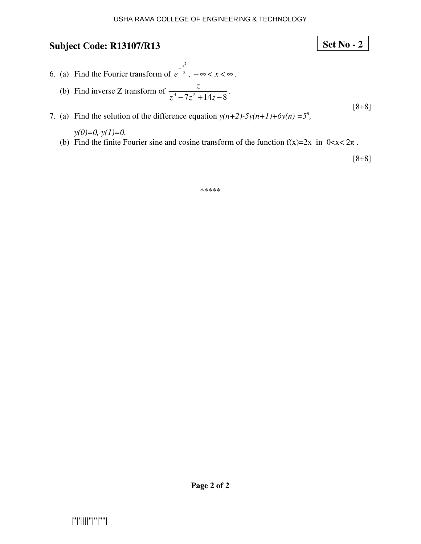7. (a) Find the solution of the difference equation  $y(n+2)$ -5 $y(n+1)+6y(n) = 5^n$ ,

*y(0)=0, y(1)=0.*  (b) Find the finite Fourier sine and cosine transform of the function  $f(x)=2x$  in  $0 < x < 2\pi$ .

[8+8]

**Set No - 2**

\*\*\*\*\*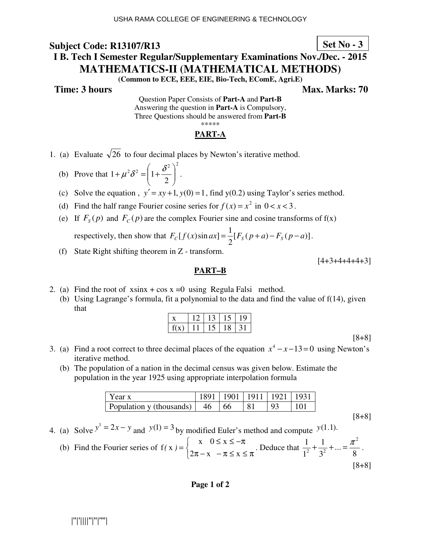## **Set No - 3**

# **I B. Tech I Semester Regular/Supplementary Examinations Nov./Dec. - 2015 MATHEMATICS-II (MATHEMATICAL METHODS)**

**(Common to ECE, EEE, EIE, Bio-Tech, EComE, Agri.E)** 

**Time: 3 hours Max. Marks: 70 Max. Marks: 70** 

Question Paper Consists of **Part-A** and **Part-B** Answering the question in **Part-A** is Compulsory, Three Questions should be answered from **Part-B** \*\*\*\*\*

### **PART-A**

- 1. (a) Evaluate  $\sqrt{26}$  to four decimal places by Newton's iterative method.
	- (b) Prove that  $\mathbb{Z}_{2}$   $\mathbb{Z}_{2}$   $\left( \begin{matrix} 1 & \delta^{2} \end{matrix} \right)^{2}$ 2  $1 + \mu^2 \delta^2 = | 1 + \frac{\sigma}{2} |$ J  $\backslash$  $\overline{\phantom{a}}$ l  $+\mu^2\delta^2 = \left(1+\frac{\delta^2}{2}\right)^2$ .
	- (c) Solve the equation,  $y' = xy + 1$ ,  $y(0) = 1$ , find  $y(0.2)$  using Taylor's series method.
	- (d) Find the half range Fourier cosine series for  $f(x) = x^2$  in  $0 < x < 3$ .
	- (e) If  $F_s(p)$  and  $F_c(p)$  are the complex Fourier sine and cosine transforms of f(x)

respectively, then show that  $F_c[f(x) \sin ax] = \frac{1}{2} [ F_s(p+a) - F_s(p-a) ]$ 2  $F_c[f(x)]\sin ax = \frac{1}{2}[F_s(p+a) - F_s(p-a)].$ 

(f) State Right shifting theorem in Z - transform.

 $[4+3+4+4+4+3]$ 

#### **PART–B**

- 2. (a) Find the root of  $x\sin x + \cos x = 0$  using Regula Falsi method.
	- (b) Using Lagrange's formula, fit a polynomial to the data and find the value of f(14), given that

|     |  |    | 9 |
|-----|--|----|---|
| f(X |  | 18 |   |

[8+8]

[8+8]

- 3. (a) Find a root correct to three decimal places of the equation  $x^4 x 13 = 0$  using Newton's iterative method.
	- (b) The population of a nation in the decimal census was given below. Estimate the population in the year 1925 using appropriate interpolation formula

| Year x                                         | 1891   1901   1911   1921   1931 |    |                |     |
|------------------------------------------------|----------------------------------|----|----------------|-----|
| Population y (thousands) $\vert$ 46 $\vert$ 66 |                                  | 81 | Q <sub>3</sub> | 101 |

4. (a) Solve 
$$
y^1 = 2x - y
$$
 and  $y(1) = 3$  by modified Euler's method and compute  $y(1.1)$ .

(b) Find the Fourier series of 
$$
f(x) = \begin{cases} x & 0 \le x \le -\pi \\ 2\pi - x & -\pi \le x \le \pi \end{cases}
$$
. Deduce that  $\frac{1}{1^2} + \frac{1}{3^2} + ... = \frac{\pi^2}{8}$ .  
[8+8]

#### **Page 1 of 2**

|''|'||||''|''|''''|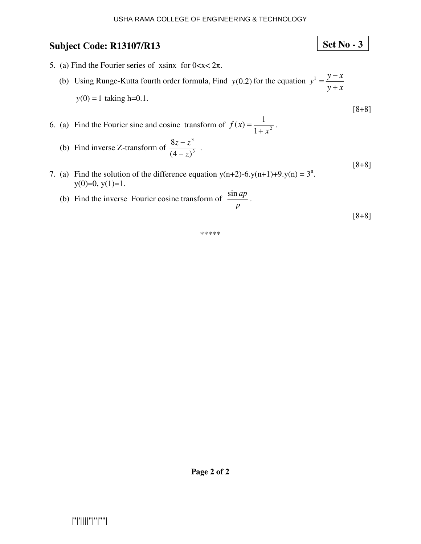## **Set No - 3**

- 5. (a) Find the Fourier series of xsinx for  $0 < x < 2\pi$ .
	- (b) Using Runge-Kutta fourth order formula, Find  $y(0.2)$  for the equation *y x*  $y^1 = \frac{y - x}{y}$ +  $y -$ <br> $y$  $y(0) = 1$  taking h=0.1.
- 6. (a) Find the Fourier sine and cosine transform of  $f(x) = \frac{1}{1 + x^2}$  $f(x) = \frac{1}{1}$ *x f x* +  $=\frac{1}{1-\frac{1}{2}}$ .
- (b) Find inverse Z-transform of  $\frac{32}{(4-5)^3}$ 3  $(4 - z)$ 8 *z*  $z - z$ −  $\frac{-z^3}{\sqrt{3}}$ .
- 7. (a) Find the solution of the difference equation  $y(n+2)-6(y(n+1)+9(y(n))=3^n$ .  $y(0)=0, y(1)=1.$ 
	- (b) Find the inverse Fourier cosine transform of *p*  $\frac{\sin ap}{\cos A}$ .

[8+8]

[8+8]

[8+8]

```
*****
```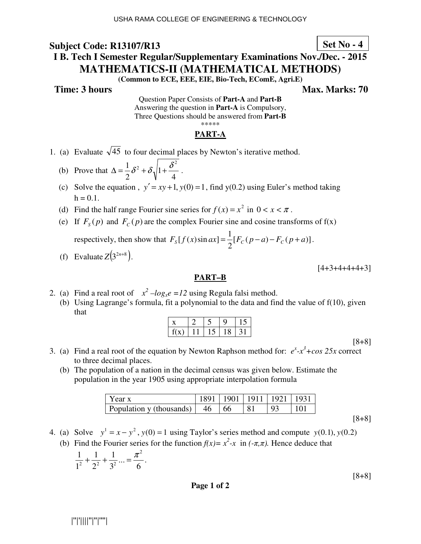## **Set No - 4**

# **I B. Tech I Semester Regular/Supplementary Examinations Nov./Dec. - 2015 MATHEMATICS-II (MATHEMATICAL METHODS)**

**(Common to ECE, EEE, EIE, Bio-Tech, EComE, Agri.E)** 

**Time: 3 hours Max. Marks: 70 Max. Marks: 70** 

Question Paper Consists of **Part-A** and **Part-B** Answering the question in **Part-A** is Compulsory, Three Questions should be answered from **Part-B** \*\*\*\*\*

### **PART-A**

- 1. (a) Evaluate  $\sqrt{45}$  to four decimal places by Newton's iterative method.
- (b) Prove that 4 1 2  $\Delta = \frac{1}{2} \delta^2 + \delta \sqrt{1 + \frac{\delta^2}{4}}$ .
	- (c) Solve the equation ,  $y' = xy + 1$ ,  $y(0) = 1$ , find  $y(0.2)$  using Euler's method taking  $h = 0.1$ .
- (d) Find the half range Fourier sine series for  $f(x) = x^2$  in  $0 < x < \pi$ .
- (e) If  $F_s(p)$  and  $F_c(p)$  are the complex Fourier sine and cosine transforms of  $f(x)$

respectively, then show that  $F_s[f(x)\sin ax] = \frac{1}{2}[F_c(p-a)-F_c(p+a)]$ 2  $F_{S}[f(x)\sin ax] = \frac{1}{2}[F_{C}(p-a)-F_{C}(p+a)].$ 

(f) Evaluate  $Z(3^{2n+8})$ .

 $[4+3+4+4+4+3]$ 

#### **PART–B**

- 2. (a) Find a real root of  $x^2 log_x e = 12$  using Regula falsi method.
	- (b) Using Lagrange's formula, fit a polynomial to the data and find the value of f(10), given that

| f(x) |  | 18 |  |
|------|--|----|--|

[8+8]

- 3. (a) Find a real root of the equation by Newton Raphson method for:  $e^x x^3 + cos 25x$  correct to three decimal places.
	- (b) The population of a nation in the decimal census was given below. Estimate the population in the year 1905 using appropriate interpolation formula

| I Year x                      |       | 1901   1911   1921   1931 |  |
|-------------------------------|-------|---------------------------|--|
| Population y (thousands)   46 | $-66$ |                           |  |

[8+8]

[8+8]

- 4. (a) Solve  $y^1 = x y^2$ ,  $y(0) = 1$  using Taylor's series method and compute  $y(0.1)$ ,  $y(0.2)$
- (b) Find the Fourier series for the function  $f(x) = x^2 x$  in  $(-\pi, \pi)$ . Hence deduce that

$$
\frac{1}{1^2} + \frac{1}{2^2} + \frac{1}{3^2} ... = \frac{\pi^2}{6}.
$$

**Page 1 of 2** 

|''|'||||''|''|''''|